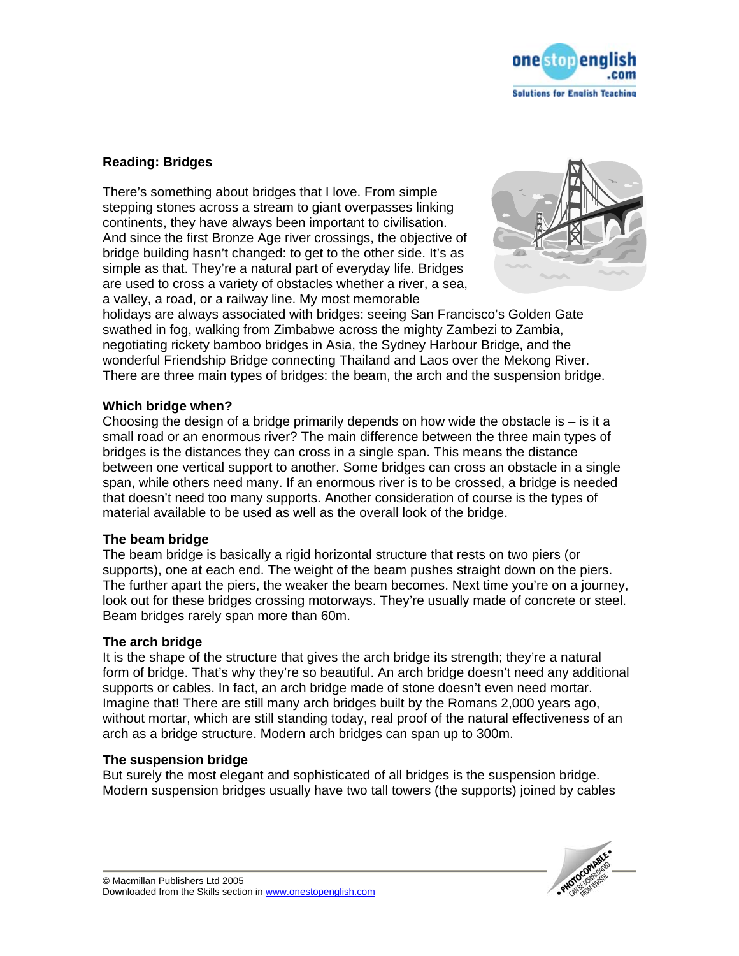

# **Reading: Bridges**

There's something about bridges that I love. From simple stepping stones across a stream to giant overpasses linking continents, they have always been important to civilisation. And since the first Bronze Age river crossings, the objective of bridge building hasn't changed: to get to the other side. It's as simple as that. They're a natural part of everyday life. Bridges are used to cross a variety of obstacles whether a river, a sea, a valley, a road, or a railway line. My most memorable



holidays are always associated with bridges: seeing San Francisco's Golden Gate swathed in fog, walking from Zimbabwe across the mighty Zambezi to Zambia, negotiating rickety bamboo bridges in Asia, the Sydney Harbour Bridge, and the wonderful Friendship Bridge connecting Thailand and Laos over the Mekong River. There are three main types of bridges: the beam, the arch and the suspension bridge.

## **Which bridge when?**

Choosing the design of a bridge primarily depends on how wide the obstacle is  $-$  is it a small road or an enormous river? The main difference between the three main types of bridges is the distances they can cross in a single span. This means the distance between one vertical support to another. Some bridges can cross an obstacle in a single span, while others need many. If an enormous river is to be crossed, a bridge is needed that doesn't need too many supports. Another consideration of course is the types of material available to be used as well as the overall look of the bridge.

## **The beam bridge**

The beam bridge is basically a rigid horizontal structure that rests on two piers (or supports), one at each end. The weight of the beam pushes straight down on the piers. The further apart the piers, the weaker the beam becomes. Next time you're on a journey, look out for these bridges crossing motorways. They're usually made of concrete or steel. Beam bridges rarely span more than 60m.

## **The arch bridge**

It is the shape of the structure that gives the arch bridge its strength; they're a natural form of bridge. That's why they're so beautiful. An arch bridge doesn't need any additional supports or cables. In fact, an arch bridge made of stone doesn't even need mortar. Imagine that! There are still many arch bridges built by the Romans 2,000 years ago, without mortar, which are still standing today, real proof of the natural effectiveness of an arch as a bridge structure. Modern arch bridges can span up to 300m.

## **The suspension bridge**

But surely the most elegant and sophisticated of all bridges is the suspension bridge. Modern suspension bridges usually have two tall towers (the supports) joined by cables